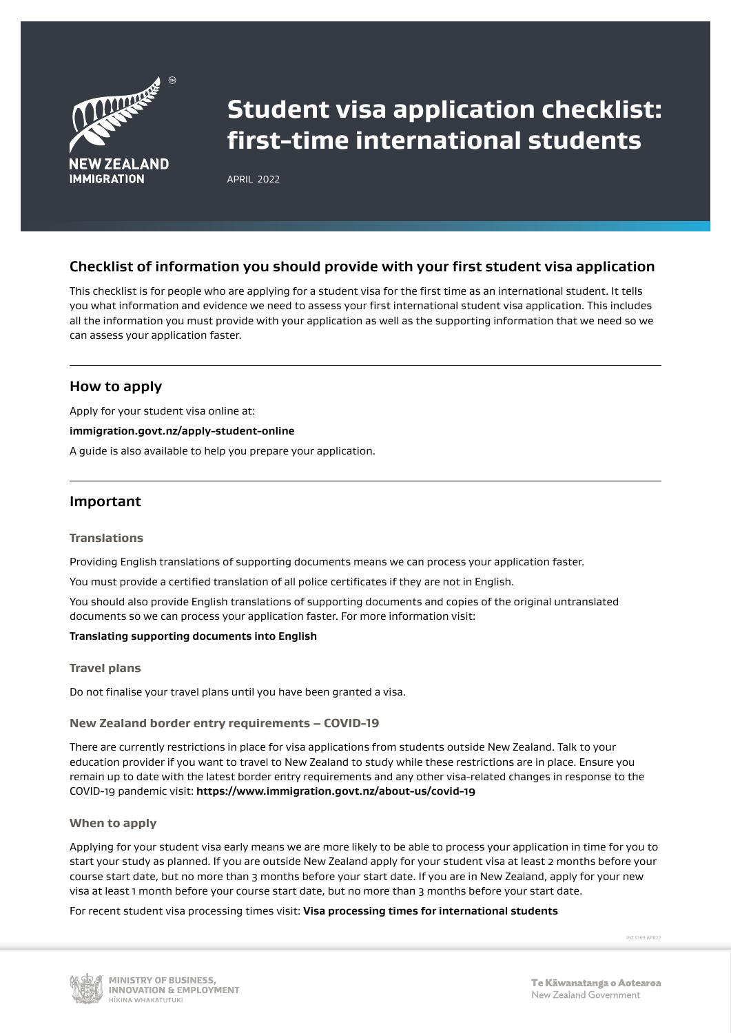

# **Student visa application checklist: first-time international students**

APRIL 2022

# **Checklist of information you should provide with your first student visa application**

This checklist is for people who are applying for a student visa for the first time as an international student. It tells you what information and evidence we need to assess your first international student visa application. This includes all the information you must provide with your application as well as the supporting information that we need so we can assess your application faster.

# **How to apply**

Apply for your student visa online at:

## **[immigration.govt.nz/apply-student-online](http://www.immigration.govt.nz/apply-student-online)**

A guide is also available to help you prepare your application.

# **Important**

#### **Translations**

Providing English translations of supporting documents means we can process your application faster.

You must provide a certified translation of all police certificates if they are not in English.

You should also provide English translations of supporting documents and copies of the original untranslated documents so we can process your application faster. For more information visit:

## **[Translating supporting documents into English](https://www.immigration.govt.nz/new-zealand-visas/apply-for-a-visa/tools-and-information/general-information/translating-supporting-documents-into-english)**

#### **Travel plans**

Do not finalise your travel plans until you have been granted a visa.

## **New Zealand border entry requirements – COVID-19**

There are currently restrictions in place for visa applications from students outside New Zealand. Talk to your education provider if you want to travel to New Zealand to study while these restrictions are in place. Ensure you remain up to date with the latest border entry requirements and any other visa-related changes in response to the COVID-19 pandemic visit: **<https://www.immigration.govt.nz/about-us/covid-19>**

## **When to apply**

Applying for your student visa early means we are more likely to be able to process your application in time for you to start your study as planned. If you are outside New Zealand apply for your student visa at least 2 months before your course start date, but no more than 3 months before your start date. If you are in New Zealand, apply for your new visa at least 1 month before your course start date, but no more than 3 months before your start date.

For recent student visa processing times visit: **[Visa processing times for international students](https://www.immigration.govt.nz/assist-migrants-and-students/assist-students/international-markets/visa-processing-times-international-students)**

INZ 5169 APR22

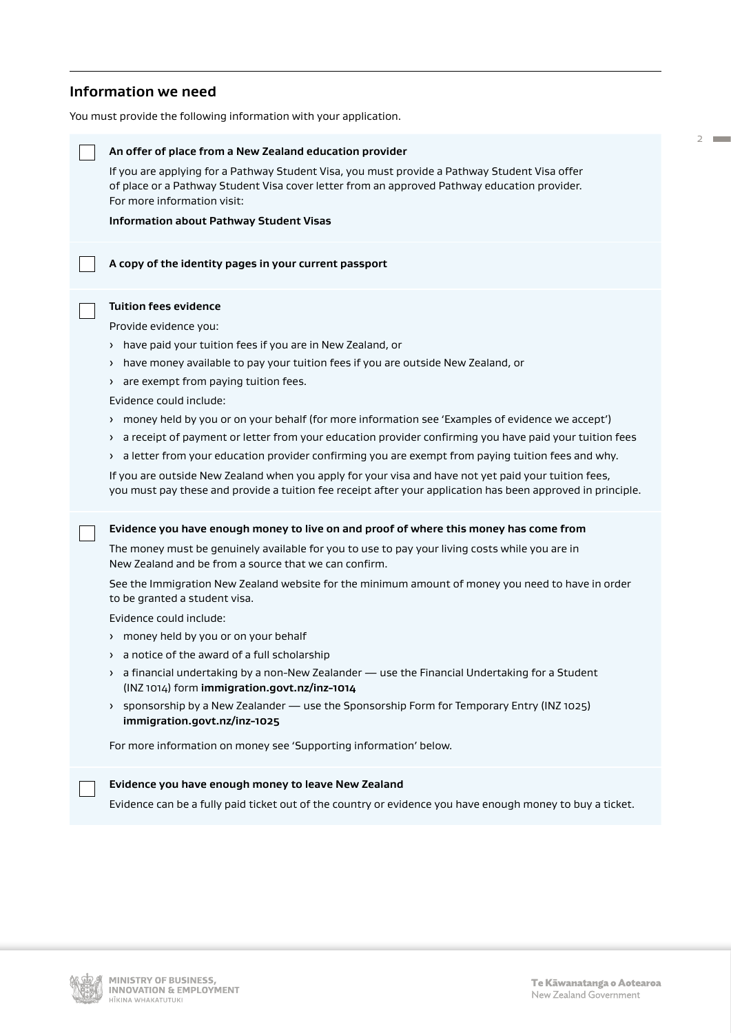# **Information we need**

You must provide the following information with your application.



2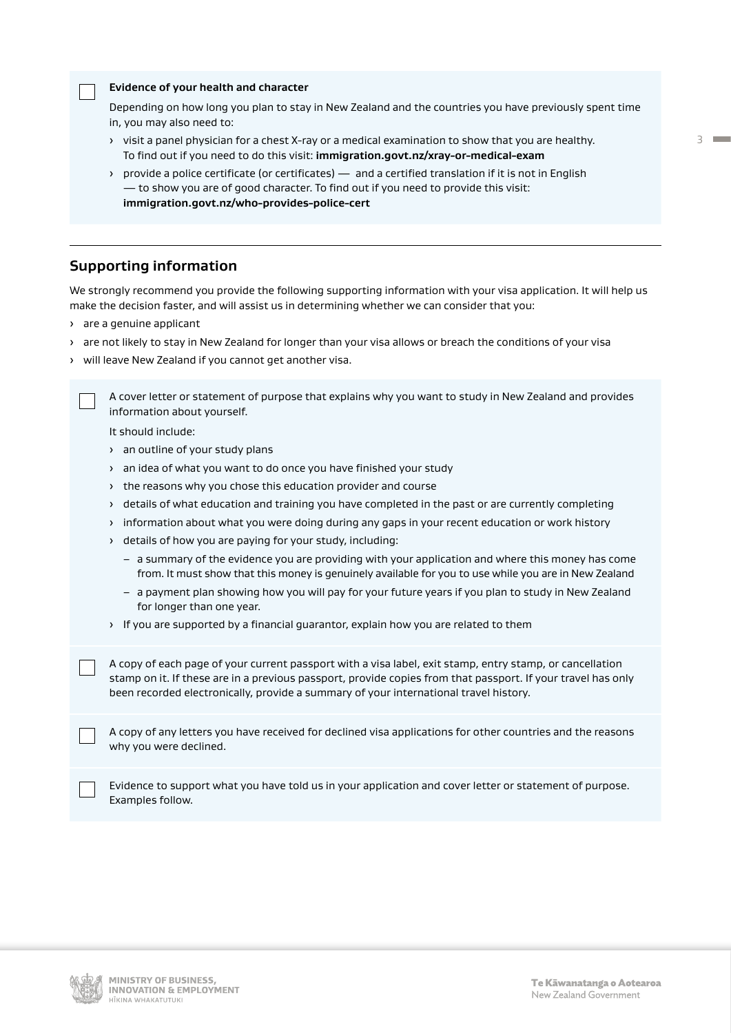| Evidence of your health and character |  |  |
|---------------------------------------|--|--|
|---------------------------------------|--|--|

Depending on how long you plan to stay in New Zealand and the countries you have previously spent time in, you may also need to:

- › visit a panel physician for a chest X-ray or a medical examination to show that you are healthy. To find out if you need to do this visit: **[immigration.govt.nz/xray-or-medical-exam](http://www.immigration.govt.nz/xray-or-medical-exam)**
- › provide a police certificate (or certificates) and a certified translation if it is not in English — to show you are of good character. To find out if you need to provide this visit: **[immigration.govt.nz/who-provides-police-cert](http://www.immigration.govt.nz/who-provides-police-cert)**

# **Supporting information**

We strongly recommend you provide the following supporting information with your visa application. It will help us make the decision faster, and will assist us in determining whether we can consider that you:

- › are a genuine applicant
- › are not likely to stay in New Zealand for longer than your visa allows or breach the conditions of your visa
- › will leave New Zealand if you cannot get another visa.

A cover letter or statement of purpose that explains why you want to study in New Zealand and provides information about yourself.

It should include:

- › an outline of your study plans
- › an idea of what you want to do once you have finished your study
- › the reasons why you chose this education provider and course
- › details of what education and training you have completed in the past or are currently completing
- › information about what you were doing during any gaps in your recent education or work history
- › details of how you are paying for your study, including:
	- a summary of the evidence you are providing with your application and where this money has come from. It must show that this money is genuinely available for you to use while you are in New Zealand
	- a payment plan showing how you will pay for your future years if you plan to study in New Zealand for longer than one year.
- › If you are supported by a financial guarantor, explain how you are related to them

A copy of each page of your current passport with a visa label, exit stamp, entry stamp, or cancellation stamp on it. If these are in a previous passport, provide copies from that passport. If your travel has only been recorded electronically, provide a summary of your international travel history.

A copy of any letters you have received for declined visa applications for other countries and the reasons why you were declined.

Evidence to support what you have told us in your application and cover letter or statement of purpose. Examples follow.

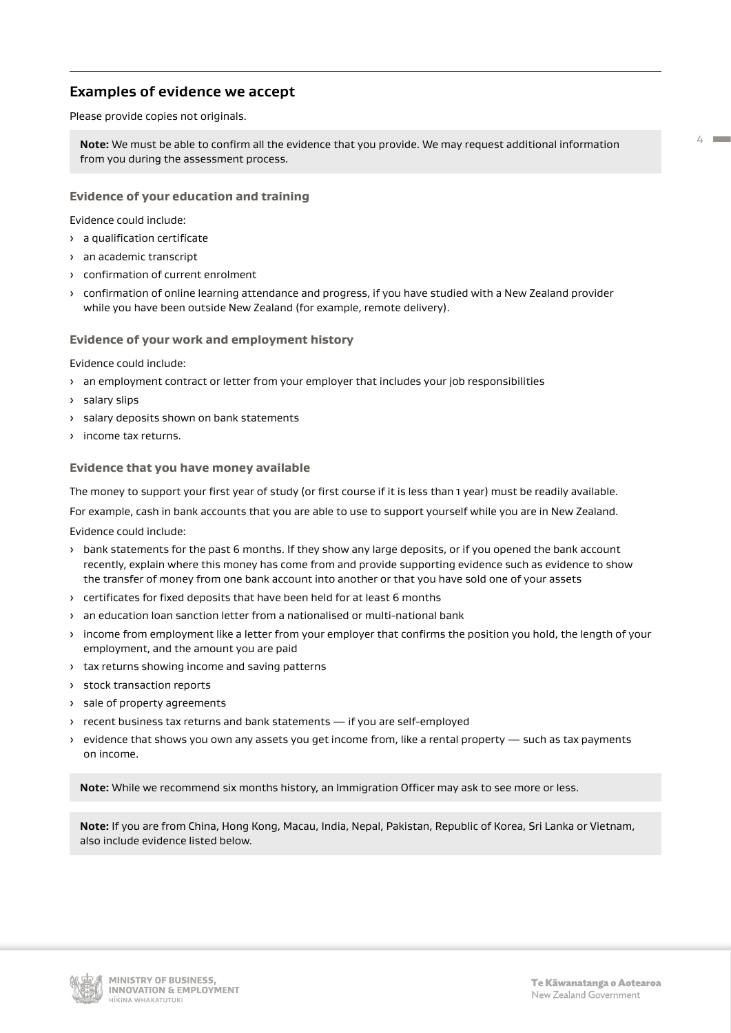# **Examples of evidence we accept**

Please provide copies not originals.

**Note:** We must be able to confirm all the evidence that you provide. We may request additional information from you during the assessment process.

## **Evidence of your education and training**

Evidence could include:

- › a qualification certificate
- › an academic transcript
- › confirmation of current enrolment
- › confirmation of online learning attendance and progress, if you have studied with a New Zealand provider while you have been outside New Zealand (for example, remote delivery).

#### **Evidence of your work and employment history**

Evidence could include:

- › an employment contract or letter from your employer that includes your job responsibilities
- › salary slips
- › salary deposits shown on bank statements
- › income tax returns.

#### **Evidence that you have money available**

The money to support your first year of study (or first course if it is less than 1 year) must be readily available.

For example, cash in bank accounts that you are able to use to support yourself while you are in New Zealand.

Evidence could include:

- › bank statements for the past 6 months. If they show any large deposits, or if you opened the bank account recently, explain where this money has come from and provide supporting evidence such as evidence to show the transfer of money from one bank account into another or that you have sold one of your assets
- › certificates for fixed deposits that have been held for at least 6 months
- › an education loan sanction letter from a nationalised or multi-national bank
- › income from employment like a letter from your employer that confirms the position you hold, the length of your employment, and the amount you are paid
- › tax returns showing income and saving patterns
- › stock transaction reports
- › sale of property agreements
- › recent business tax returns and bank statements if you are self-employed
- › evidence that shows you own any assets you get income from, like a rental property such as tax payments on income.

**Note:** While we recommend six months history, an Immigration Officer may ask to see more or less.

**Note:** If you are from China, Hong Kong, Macau, India, Nepal, Pakistan, Republic of Korea, Sri Lanka or Vietnam, also include evidence listed below.



 $44.44$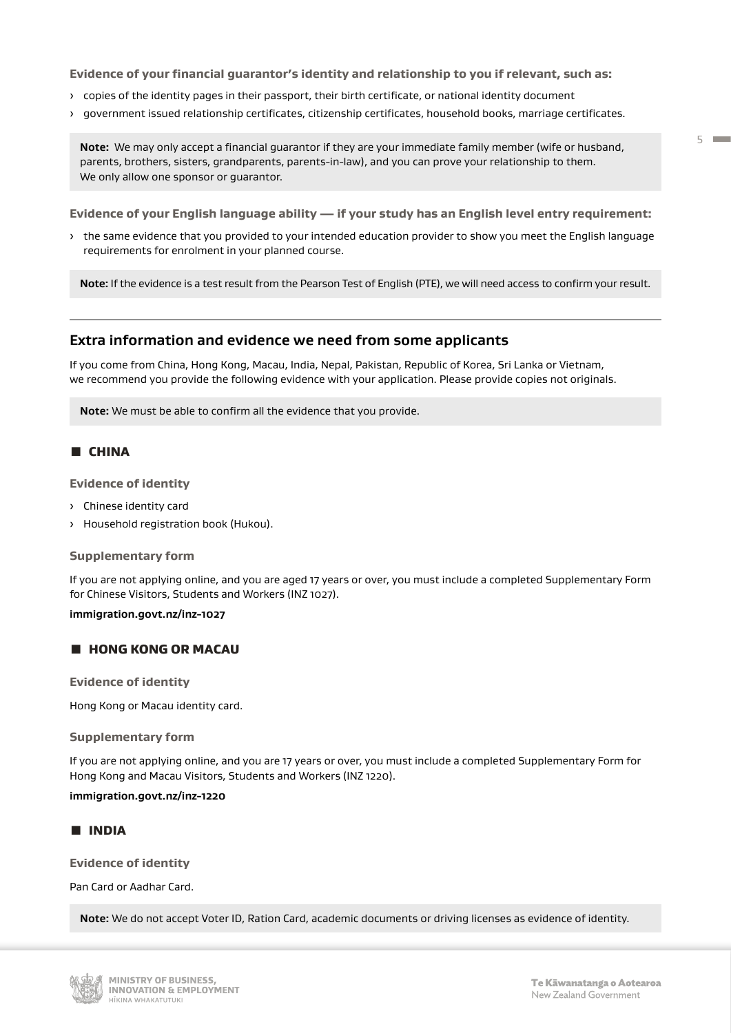#### **Evidence of your financial guarantor's identity and relationship to you if relevant, such as:**

- › copies of the identity pages in their passport, their birth certificate, or national identity document
- › government issued relationship certificates, citizenship certificates, household books, marriage certificates.

**Note:** We may only accept a financial guarantor if they are your immediate family member (wife or husband, parents, brothers, sisters, grandparents, parents-in-law), and you can prove your relationship to them. We only allow one sponsor or guarantor.

**Evidence of your English language ability — if your study has an English level entry requirement:**

› the same evidence that you provided to your intended education provider to show you meet the English language requirements for enrolment in your planned course.

**Note:** If the evidence is a test result from the Pearson Test of English (PTE), we will need access to confirm your result.

# **Extra information and evidence we need from some applicants**

If you come from China, Hong Kong, Macau, India, Nepal, Pakistan, Republic of Korea, Sri Lanka or Vietnam, we recommend you provide the following evidence with your application. Please provide copies not originals.

**Note:** We must be able to confirm all the evidence that you provide.

## Ɣ CHINA

**Evidence of identity** 

- › Chinese identity card
- › Household registration book (Hukou).

#### **Supplementary form**

If you are not applying online, and you are aged 17 years or over, you must include a completed Supplementary Form for Chinese Visitors, Students and Workers (INZ 1027).

## **[immigration.govt.nz/inz-1027](http://www.immigration.govt.nz/inz-1027)**

## **E HONG KONG OR MACAU**

**Evidence of identity** 

Hong Kong or Macau identity card.

#### **Supplementary form**

If you are not applying online, and you are 17 years or over, you must include a completed Supplementary Form for Hong Kong and Macau Visitors, Students and Workers (INZ 1220).

#### **[immigration.govt.nz/inz-1220](http://www.immigration.govt.nz/inz-1220)**

## Ɣ INDIA

#### **Evidence of identity**

Pan Card or Aadhar Card.

**Note:** We do not accept Voter ID, Ration Card, academic documents or driving licenses as evidence of identity.

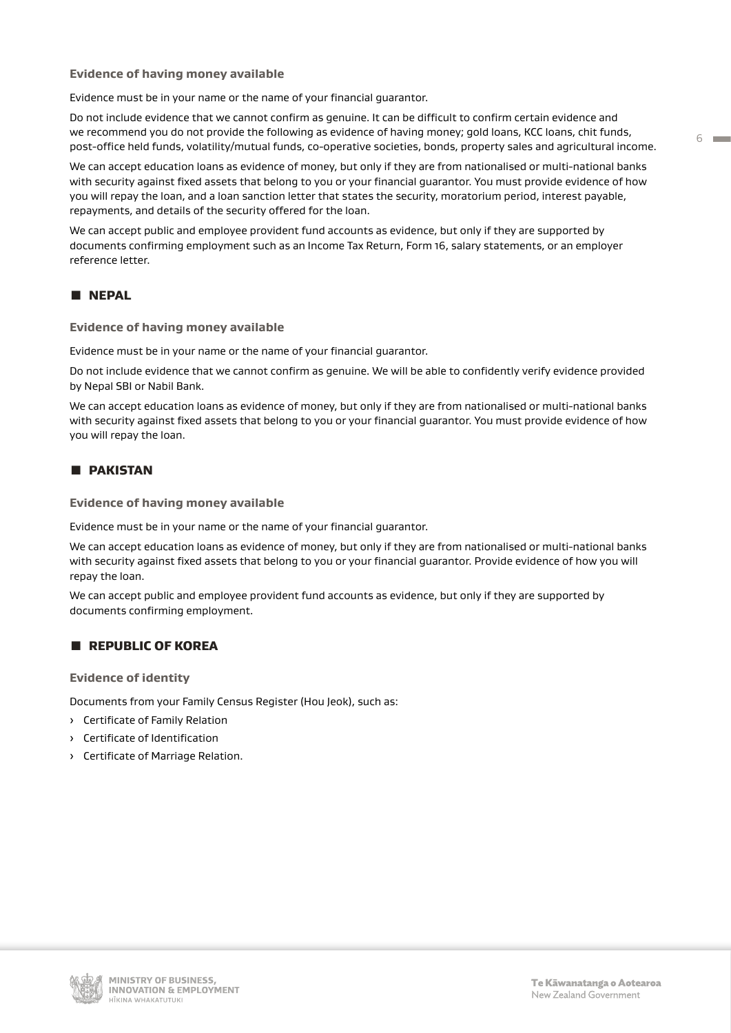#### **Evidence of having money available**

Evidence must be in your name or the name of your financial guarantor.

Do not include evidence that we cannot confirm as genuine. It can be difficult to confirm certain evidence and we recommend you do not provide the following as evidence of having money; gold loans, KCC loans, chit funds, post-office held funds, volatility/mutual funds, co-operative societies, bonds, property sales and agricultural income.

We can accept education loans as evidence of money, but only if they are from nationalised or multi-national banks with security against fixed assets that belong to you or your financial guarantor. You must provide evidence of how you will repay the loan, and a loan sanction letter that states the security, moratorium period, interest payable, repayments, and details of the security offered for the loan.

We can accept public and employee provident fund accounts as evidence, but only if they are supported by documents confirming employment such as an Income Tax Return, Form 16, salary statements, or an employer reference letter.

# Ɣ NEPAL

#### **Evidence of having money available**

Evidence must be in your name or the name of your financial guarantor.

Do not include evidence that we cannot confirm as genuine. We will be able to confidently verify evidence provided by Nepal SBI or Nabil Bank.

We can accept education loans as evidence of money, but only if they are from nationalised or multi-national banks with security against fixed assets that belong to you or your financial guarantor. You must provide evidence of how you will repay the loan.

## Ɣ PAKISTAN

**Evidence of having money available**

Evidence must be in your name or the name of your financial guarantor.

We can accept education loans as evidence of money, but only if they are from nationalised or multi-national banks with security against fixed assets that belong to you or your financial guarantor. Provide evidence of how you will repay the loan.

We can accept public and employee provident fund accounts as evidence, but only if they are supported by documents confirming employment.

## **E** REPUBLIC OF KOREA

**Evidence of identity**

Documents from your Family Census Register (Hou Jeok), such as:

- › Certificate of Family Relation
- › Certificate of Identification
- › Certificate of Marriage Relation.